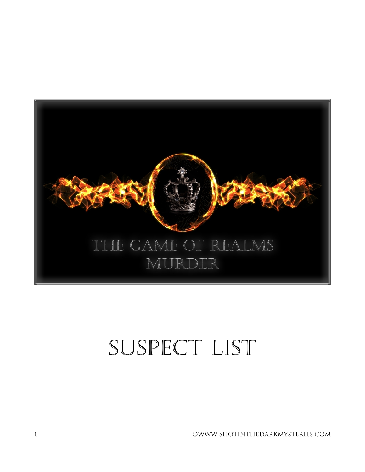

# SUSPECT LIST

1 ©WWW.SHOTINTHEDARKMYSTERIES.COM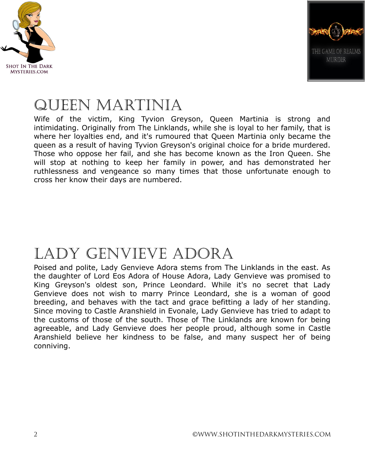



#### QUEEN MARTINIA

Wife of the victim, King Tyvion Greyson, Queen Martinia is strong and intimidating. Originally from The Linklands, while she is loyal to her family, that is where her loyalties end, and it's rumoured that Queen Martinia only became the queen as a result of having Tyvion Greyson's original choice for a bride murdered. Those who oppose her fail, and she has become known as the Iron Queen. She will stop at nothing to keep her family in power, and has demonstrated her ruthlessness and vengeance so many times that those unfortunate enough to cross her know their days are numbered.

# Lady Genvieve Adora

Poised and polite, Lady Genvieve Adora stems from The Linklands in the east. As the daughter of Lord Eos Adora of House Adora, Lady Genvieve was promised to King Greyson's oldest son, Prince Leondard. While it's no secret that Lady Genvieve does not wish to marry Prince Leondard, she is a woman of good breeding, and behaves with the tact and grace befitting a lady of her standing. Since moving to Castle Aranshield in Evonale, Lady Genvieve has tried to adapt to the customs of those of the south. Those of The Linklands are known for being agreeable, and Lady Genvieve does her people proud, although some in Castle Aranshield believe her kindness to be false, and many suspect her of being conniving.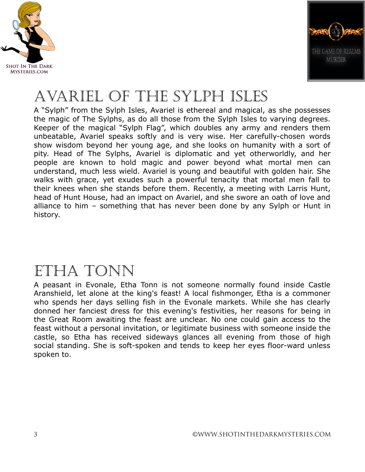



# Avariel of the sylph isles

A "Sylph" from the Sylph Isles, Avariel is ethereal and magical, as she possesses the magic of The Sylphs, as do all those from the Sylph Isles to varying degrees. Keeper of the magical "Sylph Flag", which doubles any army and renders them unbeatable, Avariel speaks softly and is very wise. Her carefully-chosen words show wisdom beyond her young age, and she looks on humanity with a sort of pity. Head of The Sylphs, Avariel is diplomatic and yet otherworldly, and her people are known to hold magic and power beyond what mortal men can understand, much less wield. Avariel is young and beautiful with golden hair. She walks with grace, yet exudes such a powerful tenacity that mortal men fall to their knees when she stands before them. Recently, a meeting with Larris Hunt, head of Hunt House, had an impact on Avariel, and she swore an oath of love and alliance to him – something that has never been done by any Sylph or Hunt in history.

#### Etha Tonn

A peasant in Evonale, Etha Tonn is not someone normally found inside Castle Aranshield, let alone at the king's feast! A local fishmonger, Etha is a commoner who spends her days selling fish in the Evonale markets. While she has clearly donned her fanciest dress for this evening's festivities, her reasons for being in the Great Room awaiting the feast are unclear. No one could gain access to the feast without a personal invitation, or legitimate business with someone inside the castle, so Etha has received sideways glances all evening from those of high social standing. She is soft-spoken and tends to keep her eyes floor-ward unless spoken to.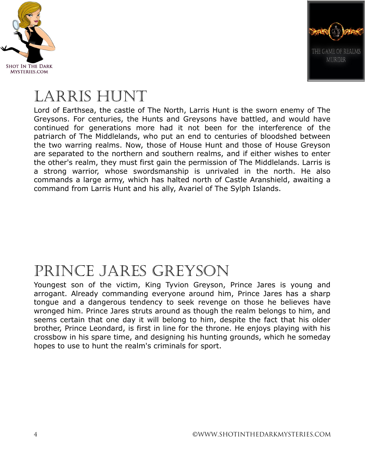



### Larris Hunt

Lord of Earthsea, the castle of The North, Larris Hunt is the sworn enemy of The Greysons. For centuries, the Hunts and Greysons have battled, and would have continued for generations more had it not been for the interference of the patriarch of The Middlelands, who put an end to centuries of bloodshed between the two warring realms. Now, those of House Hunt and those of House Greyson are separated to the northern and southern realms, and if either wishes to enter the other's realm, they must first gain the permission of The Middlelands. Larris is a strong warrior, whose swordsmanship is unrivaled in the north. He also commands a large army, which has halted north of Castle Aranshield, awaiting a command from Larris Hunt and his ally, Avariel of The Sylph Islands.

#### Prince Jares Greyson

Youngest son of the victim, King Tyvion Greyson, Prince Jares is young and arrogant. Already commanding everyone around him, Prince Jares has a sharp tongue and a dangerous tendency to seek revenge on those he believes have wronged him. Prince Jares struts around as though the realm belongs to him, and seems certain that one day it will belong to him, despite the fact that his older brother, Prince Leondard, is first in line for the throne. He enjoys playing with his crossbow in his spare time, and designing his hunting grounds, which he someday hopes to use to hunt the realm's criminals for sport.